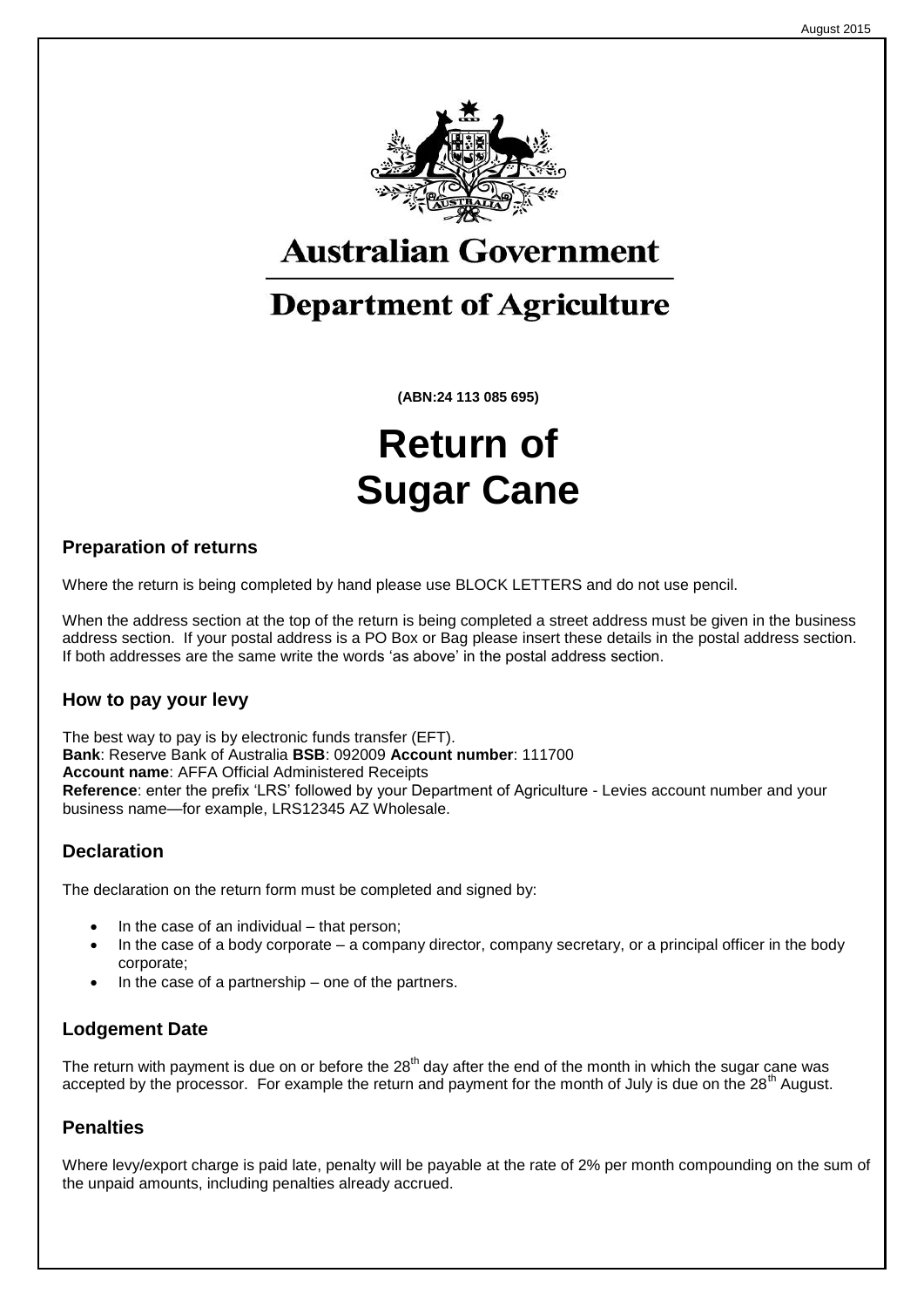

## **Australian Government**

## **Department of Agriculture**

**(ABN:24 113 085 695)**

# **Return of Sugar Cane**

#### **Preparation of returns**

Where the return is being completed by hand please use BLOCK LETTERS and do not use pencil.

When the address section at the top of the return is being completed a street address must be given in the business address section. If your postal address is a PO Box or Bag please insert these details in the postal address section. If both addresses are the same write the words 'as above' in the postal address section.

#### **How to pay your levy**

The best way to pay is by electronic funds transfer (EFT). **Bank**: Reserve Bank of Australia **BSB**: 092009 **Account number**: 111700 **Account name**: AFFA Official Administered Receipts **Reference**: enter the prefix 'LRS' followed by your Department of Agriculture - Levies account number and your business name—for example, LRS12345 AZ Wholesale.

#### **Declaration**

The declaration on the return form must be completed and signed by:

- In the case of an individual that person;
- In the case of a body corporate a company director, company secretary, or a principal officer in the body corporate;
- In the case of a partnership one of the partners.

#### **Lodgement Date**

The return with payment is due on or before the  $28<sup>th</sup>$  day after the end of the month in which the sugar cane was accepted by the processor. For example the return and payment for the month of July is due on the  $28<sup>th</sup>$  August.

#### **Penalties**

Where levy/export charge is paid late, penalty will be payable at the rate of 2% per month compounding on the sum of the unpaid amounts, including penalties already accrued.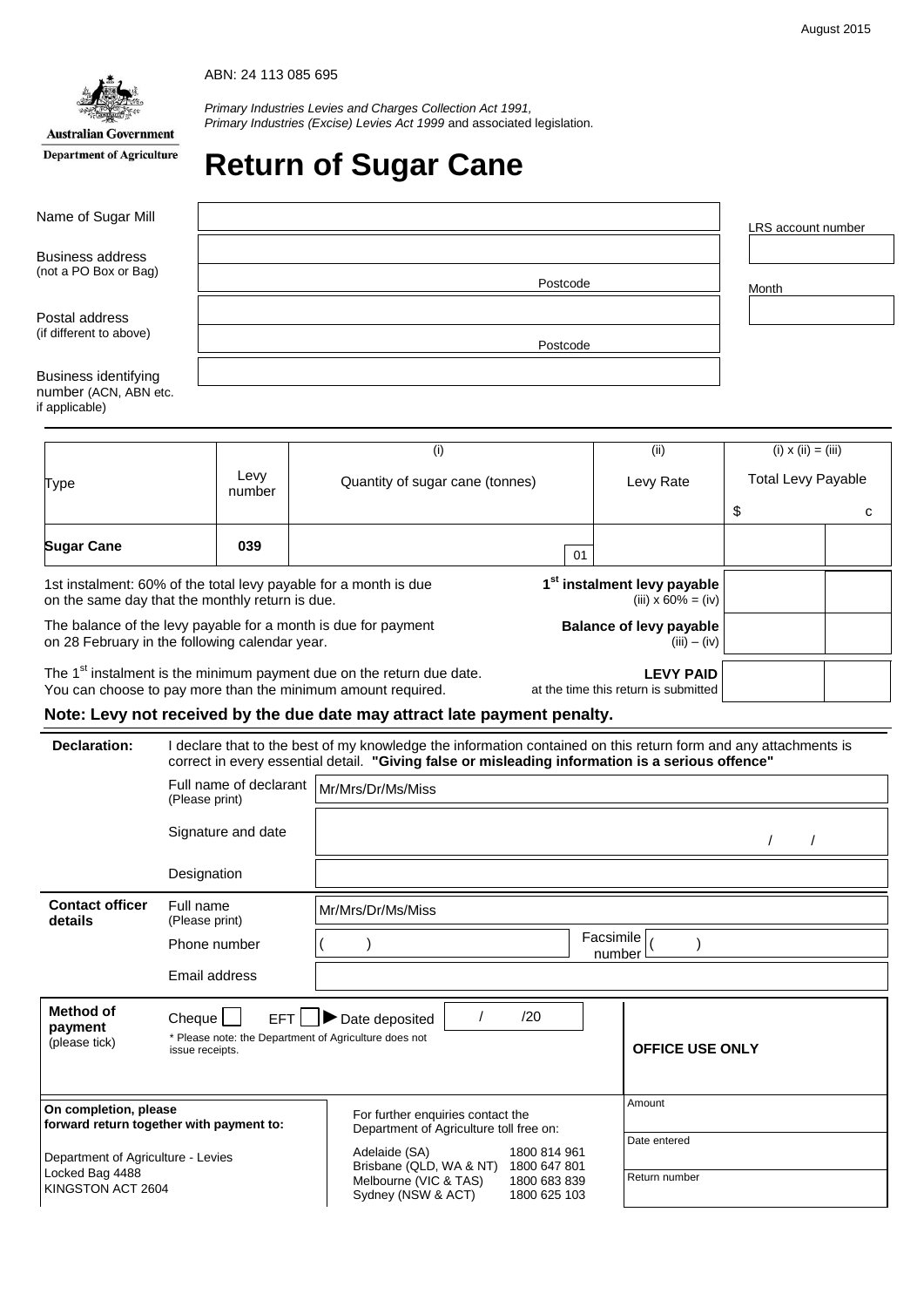

**Department of Agriculture** 

*Primary Industries Levies and Charges Collection Act 1991, Primary Industries (Excise) Levies Act 1999* and associated legislation.

## **Return of Sugar Cane**

| Name of Sugar Mill                               |          | LRS account number |
|--------------------------------------------------|----------|--------------------|
| <b>Business address</b><br>(not a PO Box or Bag) |          |                    |
|                                                  | Postcode | Month              |
| Postal address                                   |          |                    |
| (if different to above)                          | Postcode |                    |
| <b>Business identifying</b>                      |          |                    |
| number (ACN, ABN etc.<br>if applicable)          |          |                    |

|                                                                                                                     |                | (i)                                                                               |                                                  | (ii)                                                             | $(i) \times (ii) = (iii)$ |   |
|---------------------------------------------------------------------------------------------------------------------|----------------|-----------------------------------------------------------------------------------|--------------------------------------------------|------------------------------------------------------------------|---------------------------|---|
| Type                                                                                                                | Levy<br>number | Quantity of sugar cane (tonnes)                                                   |                                                  | Levy Rate                                                        | <b>Total Levy Payable</b> |   |
|                                                                                                                     |                |                                                                                   |                                                  |                                                                  | \$                        | с |
| <b>Sugar Cane</b>                                                                                                   | 039            |                                                                                   | 01                                               |                                                                  |                           |   |
| 1st instalment: 60% of the total levy payable for a month is due<br>on the same day that the monthly return is due. |                |                                                                                   |                                                  | 1 <sup>st</sup> instalment levy payable<br>(iii) $x 60\% = (iv)$ |                           |   |
| The balance of the levy payable for a month is due for payment<br>on 28 February in the following calendar year.    |                |                                                                                   | <b>Balance of levy payable</b><br>$(iii) - (iv)$ |                                                                  |                           |   |
| You can choose to pay more than the minimum amount required.                                                        |                | The 1 <sup>st</sup> instalment is the minimum payment due on the return due date. |                                                  | <b>LEVY PAID</b><br>at the time this return is submitted         |                           |   |

#### **Note: Levy not received by the due date may attract late payment penalty.**

| Declaration:                                                                                                                                             |                             | I declare that to the best of my knowledge the information contained on this return form and any attachments is<br>correct in every essential detail. "Giving false or misleading information is a serious offence" |  |  |
|----------------------------------------------------------------------------------------------------------------------------------------------------------|-----------------------------|---------------------------------------------------------------------------------------------------------------------------------------------------------------------------------------------------------------------|--|--|
| Full name of declarant<br>(Please print)                                                                                                                 |                             | Mr/Mrs/Dr/Ms/Miss                                                                                                                                                                                                   |  |  |
|                                                                                                                                                          | Signature and date          |                                                                                                                                                                                                                     |  |  |
|                                                                                                                                                          | Designation                 |                                                                                                                                                                                                                     |  |  |
| <b>Contact officer</b><br>details                                                                                                                        | Full name<br>(Please print) | Mr/Mrs/Dr/Ms/Miss                                                                                                                                                                                                   |  |  |
|                                                                                                                                                          | Phone number                | Facsimile<br>number                                                                                                                                                                                                 |  |  |
|                                                                                                                                                          | Email address               |                                                                                                                                                                                                                     |  |  |
| <b>Method of</b><br>EFT <sup>1</sup><br>Cheque  <br>payment<br>* Please note: the Department of Agriculture does not<br>(please tick)<br>issue receipts. |                             | /20<br>Date deposited<br><b>OFFICE USE ONLY</b>                                                                                                                                                                     |  |  |
| On completion, please<br>forward return together with payment to:                                                                                        |                             | Amount<br>For further enquiries contact the<br>Department of Agriculture toll free on:<br>Date entered                                                                                                              |  |  |
| Department of Agriculture - Levies<br>Locked Bag 4488<br>KINGSTON ACT 2604                                                                               |                             | Adelaide (SA)<br>1800 814 961<br>Brisbane (QLD, WA & NT)<br>1800 647 801<br>Return number<br>Melbourne (VIC & TAS)<br>1800 683 839<br>Sydney (NSW & ACT)<br>1800 625 103                                            |  |  |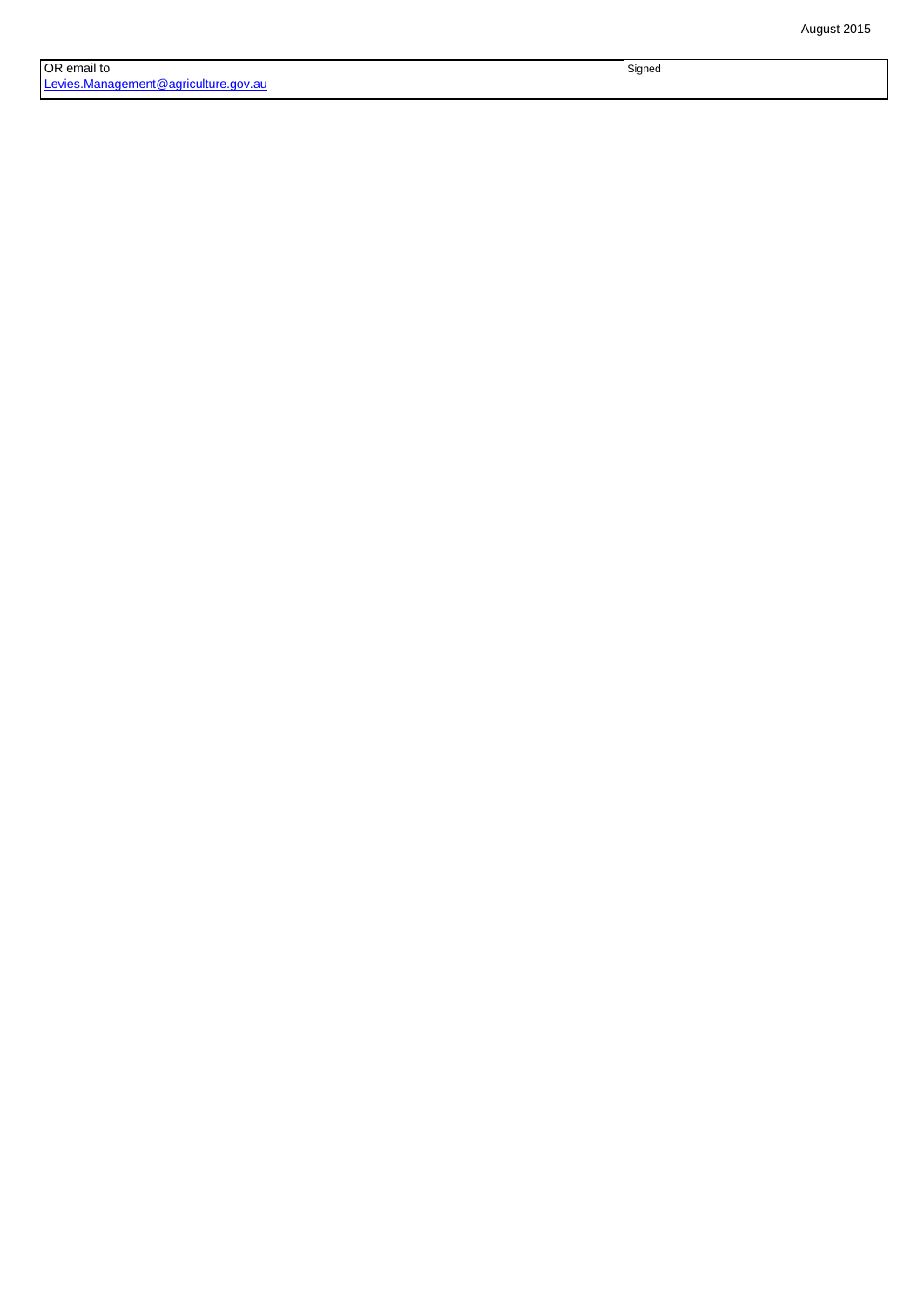| OR email to                          | Signea |
|--------------------------------------|--------|
| Levies.Management@agriculture.gov.au |        |

OR fax to 1800 609 150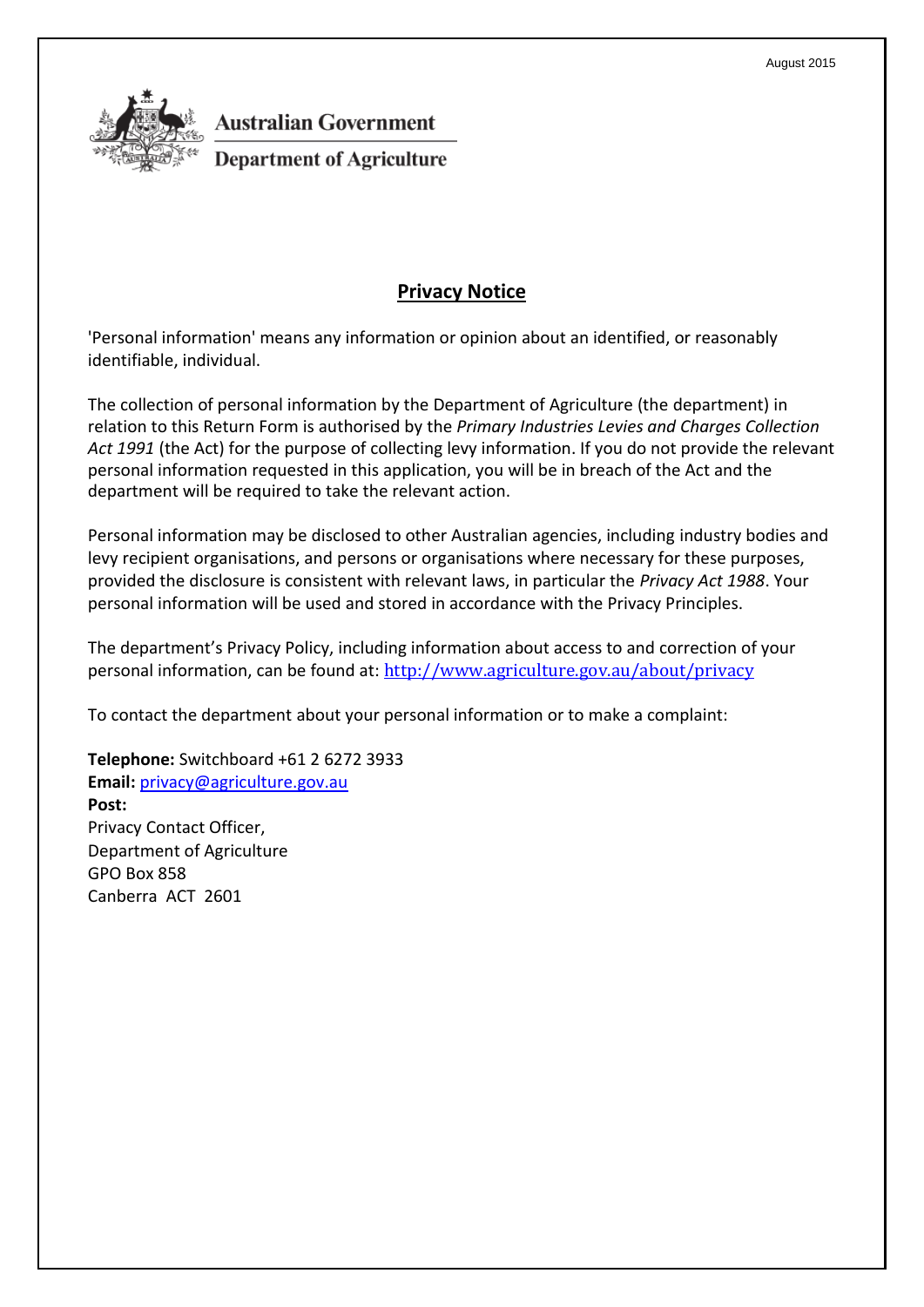

### **Australian Government**

**Department of Agriculture** 

#### **Privacy Notice**

'Personal information' means any information or opinion about an identified, or reasonably identifiable, individual.

The collection of personal information by the Department of Agriculture (the department) in relation to this Return Form is authorised by the *Primary Industries Levies and Charges Collection Act 1991* (the Act) for the purpose of collecting levy information. If you do not provide the relevant personal information requested in this application, you will be in breach of the Act and the department will be required to take the relevant action.

Personal information may be disclosed to other Australian agencies, including industry bodies and levy recipient organisations, and persons or organisations where necessary for these purposes, provided the disclosure is consistent with relevant laws, in particular the *Privacy Act 1988*. Your personal information will be used and stored in accordance with the Privacy Principles.

The department's Privacy Policy, including information about access to and correction of your personal information, can be found at: <http://www.agriculture.gov.au/about/privacy>

To contact the department about your personal information or to make a complaint:

**Telephone:** Switchboard +61 2 6272 3933 **Email:** [privacy@agriculture.gov.au](mailto:privacy@agriculture.gov.au) **Post:** Privacy Contact Officer, Department of Agriculture GPO Box 858 Canberra ACT 2601